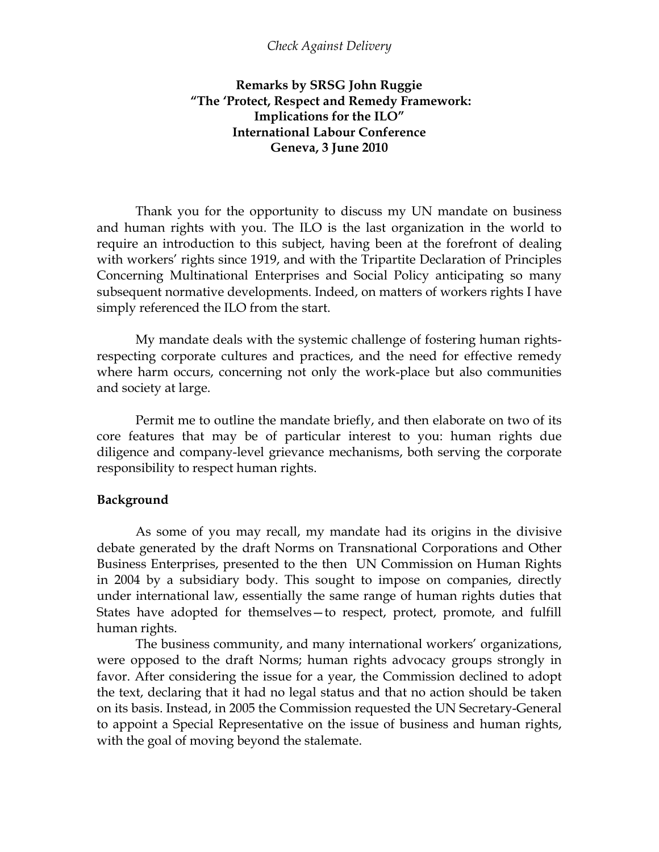### *Check Against Delivery*

# **Remarks by SRSG John Ruggie "The 'Protect, Respect and Remedy Framework: Implications for the ILO" International Labour Conference Geneva, 3 June 2010**

Thank you for the opportunity to discuss my UN mandate on business and human rights with you. The ILO is the last organization in the world to require an introduction to this subject, having been at the forefront of dealing with workers' rights since 1919, and with the Tripartite Declaration of Principles Concerning Multinational Enterprises and Social Policy anticipating so many subsequent normative developments. Indeed, on matters of workers rights I have simply referenced the ILO from the start.

My mandate deals with the systemic challenge of fostering human rightsrespecting corporate cultures and practices, and the need for effective remedy where harm occurs, concerning not only the work-place but also communities and society at large.

Permit me to outline the mandate briefly, and then elaborate on two of its core features that may be of particular interest to you: human rights due diligence and company-level grievance mechanisms, both serving the corporate responsibility to respect human rights.

#### **Background**

As some of you may recall, my mandate had its origins in the divisive debate generated by the draft Norms on Transnational Corporations and Other Business Enterprises, presented to the then UN Commission on Human Rights in 2004 by a subsidiary body. This sought to impose on companies, directly under international law, essentially the same range of human rights duties that States have adopted for themselves—to respect, protect, promote, and fulfill human rights.

The business community, and many international workers' organizations, were opposed to the draft Norms; human rights advocacy groups strongly in favor. After considering the issue for a year, the Commission declined to adopt the text, declaring that it had no legal status and that no action should be taken on its basis. Instead, in 2005 the Commission requested the UN Secretary-General to appoint a Special Representative on the issue of business and human rights, with the goal of moving beyond the stalemate.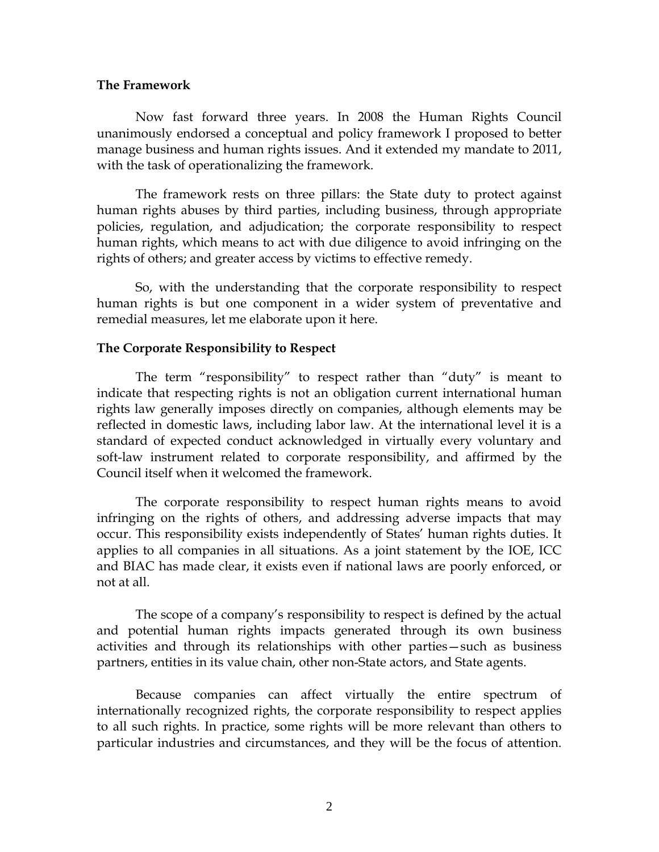#### **The Framework**

Now fast forward three years. In 2008 the Human Rights Council unanimously endorsed a conceptual and policy framework I proposed to better manage business and human rights issues. And it extended my mandate to 2011, with the task of operationalizing the framework.

The framework rests on three pillars: the State duty to protect against human rights abuses by third parties, including business, through appropriate policies, regulation, and adjudication; the corporate responsibility to respect human rights, which means to act with due diligence to avoid infringing on the rights of others; and greater access by victims to effective remedy.

So, with the understanding that the corporate responsibility to respect human rights is but one component in a wider system of preventative and remedial measures, let me elaborate upon it here.

## **The Corporate Responsibility to Respect**

The term "responsibility" to respect rather than "duty" is meant to indicate that respecting rights is not an obligation current international human rights law generally imposes directly on companies, although elements may be reflected in domestic laws, including labor law. At the international level it is a standard of expected conduct acknowledged in virtually every voluntary and soft-law instrument related to corporate responsibility, and affirmed by the Council itself when it welcomed the framework.

The corporate responsibility to respect human rights means to avoid infringing on the rights of others, and addressing adverse impacts that may occur. This responsibility exists independently of States' human rights duties. It applies to all companies in all situations. As a joint statement by the IOE, ICC and BIAC has made clear, it exists even if national laws are poorly enforced, or not at all.

The scope of a company's responsibility to respect is defined by the actual and potential human rights impacts generated through its own business activities and through its relationships with other parties—such as business partners, entities in its value chain, other non-State actors, and State agents.

Because companies can affect virtually the entire spectrum of internationally recognized rights, the corporate responsibility to respect applies to all such rights. In practice, some rights will be more relevant than others to particular industries and circumstances, and they will be the focus of attention.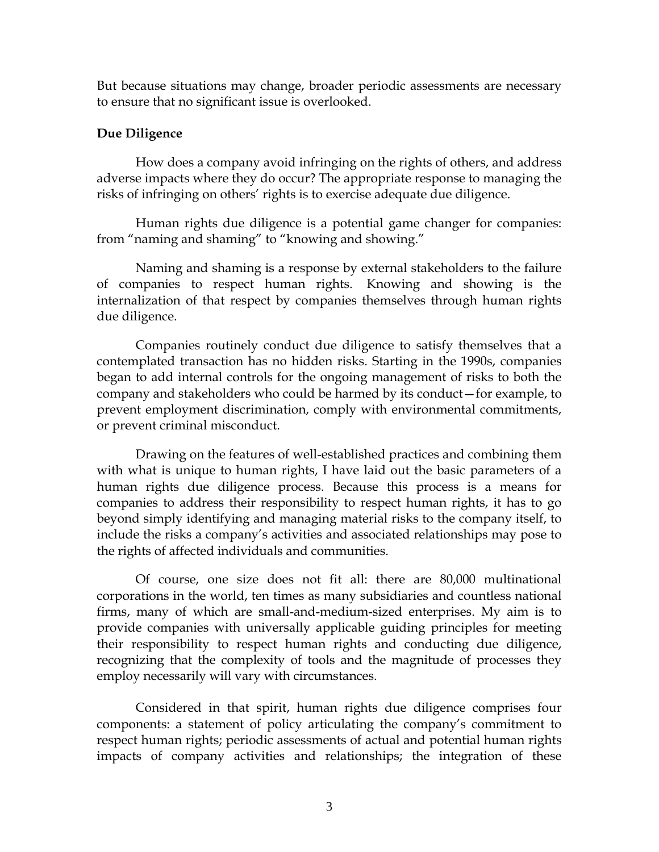But because situations may change, broader periodic assessments are necessary to ensure that no significant issue is overlooked.

## **Due Diligence**

How does a company avoid infringing on the rights of others, and address adverse impacts where they do occur? The appropriate response to managing the risks of infringing on others' rights is to exercise adequate due diligence.

Human rights due diligence is a potential game changer for companies: from "naming and shaming" to "knowing and showing."

Naming and shaming is a response by external stakeholders to the failure of companies to respect human rights. Knowing and showing is the internalization of that respect by companies themselves through human rights due diligence.

Companies routinely conduct due diligence to satisfy themselves that a contemplated transaction has no hidden risks. Starting in the 1990s, companies began to add internal controls for the ongoing management of risks to both the company and stakeholders who could be harmed by its conduct—for example, to prevent employment discrimination, comply with environmental commitments, or prevent criminal misconduct.

Drawing on the features of well-established practices and combining them with what is unique to human rights, I have laid out the basic parameters of a human rights due diligence process. Because this process is a means for companies to address their responsibility to respect human rights, it has to go beyond simply identifying and managing material risks to the company itself, to include the risks a company's activities and associated relationships may pose to the rights of affected individuals and communities.

Of course, one size does not fit all: there are 80,000 multinational corporations in the world, ten times as many subsidiaries and countless national firms, many of which are small-and-medium-sized enterprises. My aim is to provide companies with universally applicable guiding principles for meeting their responsibility to respect human rights and conducting due diligence, recognizing that the complexity of tools and the magnitude of processes they employ necessarily will vary with circumstances.

Considered in that spirit, human rights due diligence comprises four components: a statement of policy articulating the company's commitment to respect human rights; periodic assessments of actual and potential human rights impacts of company activities and relationships; the integration of these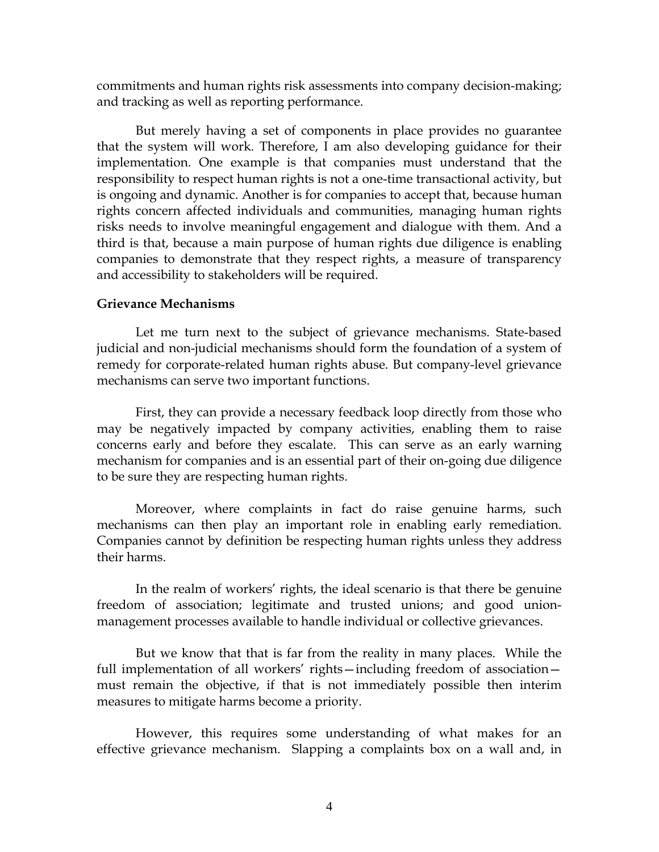commitments and human rights risk assessments into company decision-making; and tracking as well as reporting performance.

But merely having a set of components in place provides no guarantee that the system will work. Therefore, I am also developing guidance for their implementation. One example is that companies must understand that the responsibility to respect human rights is not a one-time transactional activity, but is ongoing and dynamic. Another is for companies to accept that, because human rights concern affected individuals and communities, managing human rights risks needs to involve meaningful engagement and dialogue with them. And a third is that, because a main purpose of human rights due diligence is enabling companies to demonstrate that they respect rights, a measure of transparency and accessibility to stakeholders will be required.

#### **Grievance Mechanisms**

Let me turn next to the subject of grievance mechanisms. State-based judicial and non-judicial mechanisms should form the foundation of a system of remedy for corporate-related human rights abuse. But company-level grievance mechanisms can serve two important functions.

First, they can provide a necessary feedback loop directly from those who may be negatively impacted by company activities, enabling them to raise concerns early and before they escalate. This can serve as an early warning mechanism for companies and is an essential part of their on-going due diligence to be sure they are respecting human rights.

Moreover, where complaints in fact do raise genuine harms, such mechanisms can then play an important role in enabling early remediation. Companies cannot by definition be respecting human rights unless they address their harms.

In the realm of workers' rights, the ideal scenario is that there be genuine freedom of association; legitimate and trusted unions; and good unionmanagement processes available to handle individual or collective grievances.

But we know that that is far from the reality in many places. While the full implementation of all workers' rights—including freedom of association must remain the objective, if that is not immediately possible then interim measures to mitigate harms become a priority.

However, this requires some understanding of what makes for an effective grievance mechanism. Slapping a complaints box on a wall and, in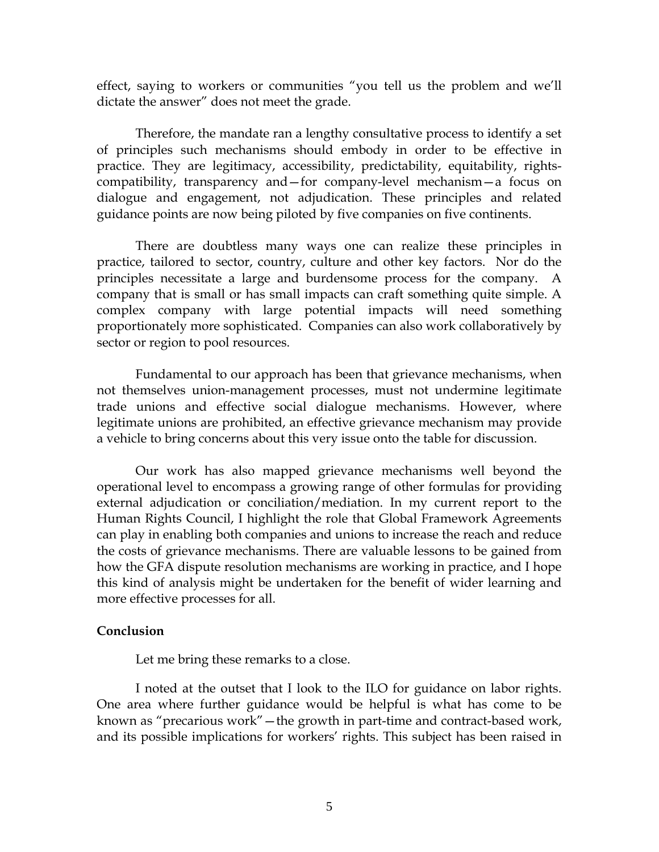effect, saying to workers or communities "you tell us the problem and we'll dictate the answer" does not meet the grade.

Therefore, the mandate ran a lengthy consultative process to identify a set of principles such mechanisms should embody in order to be effective in practice. They are legitimacy, accessibility, predictability, equitability, rightscompatibility, transparency and—for company-level mechanism—a focus on dialogue and engagement, not adjudication. These principles and related guidance points are now being piloted by five companies on five continents.

There are doubtless many ways one can realize these principles in practice, tailored to sector, country, culture and other key factors. Nor do the principles necessitate a large and burdensome process for the company. A company that is small or has small impacts can craft something quite simple. A complex company with large potential impacts will need something proportionately more sophisticated. Companies can also work collaboratively by sector or region to pool resources.

Fundamental to our approach has been that grievance mechanisms, when not themselves union-management processes, must not undermine legitimate trade unions and effective social dialogue mechanisms. However, where legitimate unions are prohibited, an effective grievance mechanism may provide a vehicle to bring concerns about this very issue onto the table for discussion.

Our work has also mapped grievance mechanisms well beyond the operational level to encompass a growing range of other formulas for providing external adjudication or conciliation/mediation. In my current report to the Human Rights Council, I highlight the role that Global Framework Agreements can play in enabling both companies and unions to increase the reach and reduce the costs of grievance mechanisms. There are valuable lessons to be gained from how the GFA dispute resolution mechanisms are working in practice, and I hope this kind of analysis might be undertaken for the benefit of wider learning and more effective processes for all.

## **Conclusion**

Let me bring these remarks to a close.

I noted at the outset that I look to the ILO for guidance on labor rights. One area where further guidance would be helpful is what has come to be known as "precarious work"—the growth in part-time and contract-based work, and its possible implications for workers' rights. This subject has been raised in